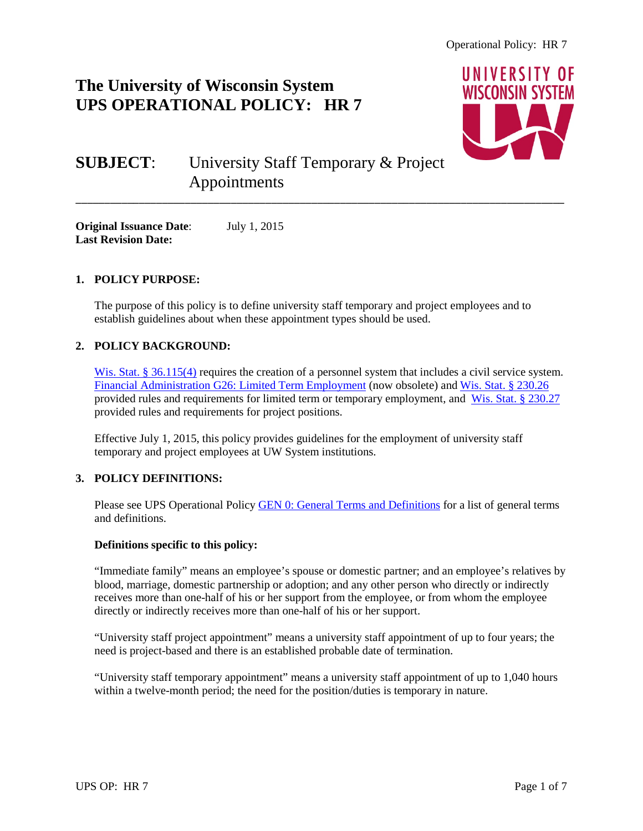## **The University of Wisconsin System UPS OPERATIONAL POLICY: HR 7**



# **SUBJECT**: University Staff Temporary & Project Appointments

**Original Issuance Date**: July 1, 2015 **Last Revision Date:**

## **1. POLICY PURPOSE:**

The purpose of this policy is to define university staff temporary and project employees and to establish guidelines about when these appointment types should be used.

\_\_\_\_\_\_\_\_\_\_\_\_\_\_\_\_\_\_\_\_\_\_\_\_\_\_\_\_\_\_\_\_\_\_\_\_\_\_\_\_\_\_\_\_\_\_\_\_\_\_\_\_\_\_\_\_\_\_\_\_\_\_\_\_\_\_\_\_\_\_\_\_\_\_\_\_\_\_\_\_\_\_\_\_\_

## **2. POLICY BACKGROUND:**

[Wis. Stat. § 36.115\(4\)](https://docs.legis.wisconsin.gov/statutes/statutes/36/115/4) requires the creation of a personnel system that includes a civil service system. [Financial Administration G26: Limited Term Employment](https://www.wisconsin.edu/uw-policies/uw-system-administrative-policies/limited-term-employment/) (now obsolete) and [Wis. Stat. § 230.26](https://docs.legis.wisconsin.gov/statutes/statutes/230/II/26) provided rules and requirements for limited term or temporary employment, and [Wis. Stat. § 230.27](http://docs.legis.wisconsin.gov/statutes/statutes/230/II/27) provided rules and requirements for project positions.

Effective July 1, 2015, this policy provides guidelines for the employment of university staff temporary and project employees at UW System institutions.

## **3. POLICY DEFINITIONS:**

Please see UPS Operational Policy **GEN 0: General Terms and Definitions** for a list of general terms and definitions.

#### **Definitions specific to this policy:**

"Immediate family" means an employee's spouse or domestic partner; and an employee's relatives by blood, marriage, domestic partnership or adoption; and any other person who directly or indirectly receives more than one-half of his or her support from the employee, or from whom the employee directly or indirectly receives more than one-half of his or her support.

"University staff project appointment" means a university staff appointment of up to four years; the need is project-based and there is an established probable date of termination.

"University staff temporary appointment" means a university staff appointment of up to 1,040 hours within a twelve-month period; the need for the position/duties is temporary in nature.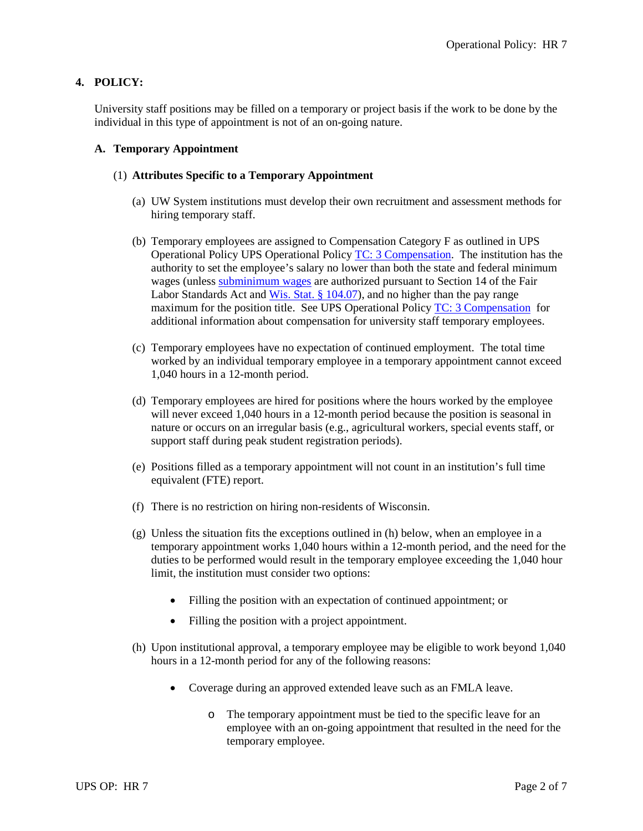## **4. POLICY:**

University staff positions may be filled on a temporary or project basis if the work to be done by the individual in this type of appointment is not of an on-going nature.

#### **A. Temporary Appointment**

#### (1) **Attributes Specific to a Temporary Appointment**

- (a) UW System institutions must develop their own recruitment and assessment methods for hiring temporary staff.
- (b) Temporary employees are assigned to Compensation Category F as outlined in UPS Operational Policy UPS Operational Policy [TC: 3 Compensation.](https://www.wisconsin.edu/ohrwd/download/policies/ops/tc3.pdf) The institution has the authority to set the employee's salary no lower than both the state and federal minimum wages (unless [subminimum wages](https://www.dol.gov/whd/regs/compliance/whdfs39.pdf) are authorized pursuant to Section 14 of the Fair Labor Standards Act and [Wis. Stat. § 104.07\)](https://docs.legis.wisconsin.gov/statutes/statutes/104/07), and no higher than the pay range maximum for the position title. See UPS Operational Policy [TC: 3 Compensation](https://www.wisconsin.edu/ohrwd/download/policies/ops/tc3.pdf) for additional information about compensation for university staff temporary employees.
- (c) Temporary employees have no expectation of continued employment. The total time worked by an individual temporary employee in a temporary appointment cannot exceed 1,040 hours in a 12-month period.
- (d) Temporary employees are hired for positions where the hours worked by the employee will never exceed 1,040 hours in a 12-month period because the position is seasonal in nature or occurs on an irregular basis (e.g., agricultural workers, special events staff, or support staff during peak student registration periods).
- (e) Positions filled as a temporary appointment will not count in an institution's full time equivalent (FTE) report.
- (f) There is no restriction on hiring non-residents of Wisconsin.
- (g) Unless the situation fits the exceptions outlined in (h) below, when an employee in a temporary appointment works 1,040 hours within a 12-month period, and the need for the duties to be performed would result in the temporary employee exceeding the 1,040 hour limit, the institution must consider two options:
	- Filling the position with an expectation of continued appointment; or
	- Filling the position with a project appointment.
- (h) Upon institutional approval, a temporary employee may be eligible to work beyond 1,040 hours in a 12-month period for any of the following reasons:
	- Coverage during an approved extended leave such as an FMLA leave.
		- o The temporary appointment must be tied to the specific leave for an employee with an on-going appointment that resulted in the need for the temporary employee.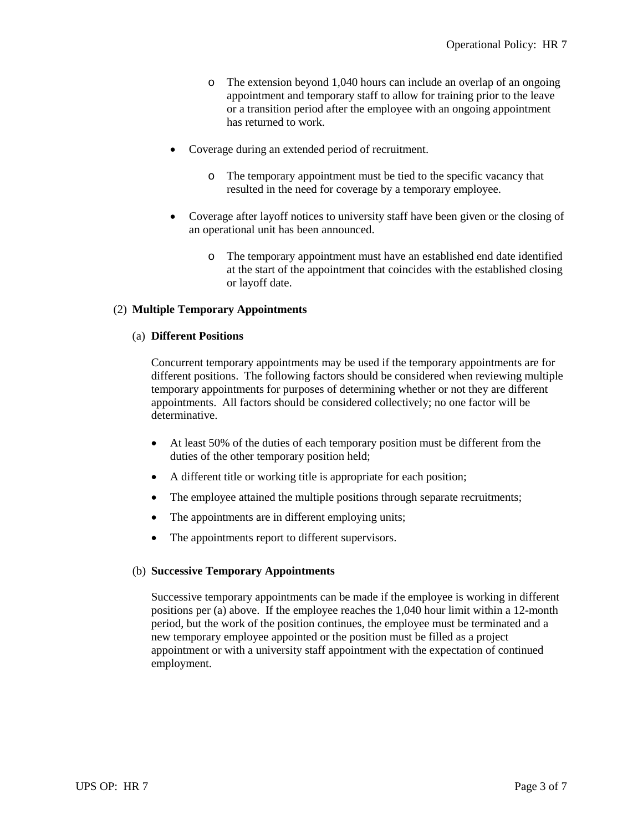- o The extension beyond 1,040 hours can include an overlap of an ongoing appointment and temporary staff to allow for training prior to the leave or a transition period after the employee with an ongoing appointment has returned to work.
- Coverage during an extended period of recruitment.
	- o The temporary appointment must be tied to the specific vacancy that resulted in the need for coverage by a temporary employee.
- Coverage after layoff notices to university staff have been given or the closing of an operational unit has been announced.
	- o The temporary appointment must have an established end date identified at the start of the appointment that coincides with the established closing or layoff date.

#### (2) **Multiple Temporary Appointments**

#### (a) **Different Positions**

Concurrent temporary appointments may be used if the temporary appointments are for different positions. The following factors should be considered when reviewing multiple temporary appointments for purposes of determining whether or not they are different appointments. All factors should be considered collectively; no one factor will be determinative.

- At least 50% of the duties of each temporary position must be different from the duties of the other temporary position held;
- A different title or working title is appropriate for each position;
- The employee attained the multiple positions through separate recruitments;
- The appointments are in different employing units;
- The appointments report to different supervisors.

#### (b) **Successive Temporary Appointments**

Successive temporary appointments can be made if the employee is working in different positions per (a) above. If the employee reaches the 1,040 hour limit within a 12-month period, but the work of the position continues, the employee must be terminated and a new temporary employee appointed or the position must be filled as a project appointment or with a university staff appointment with the expectation of continued employment.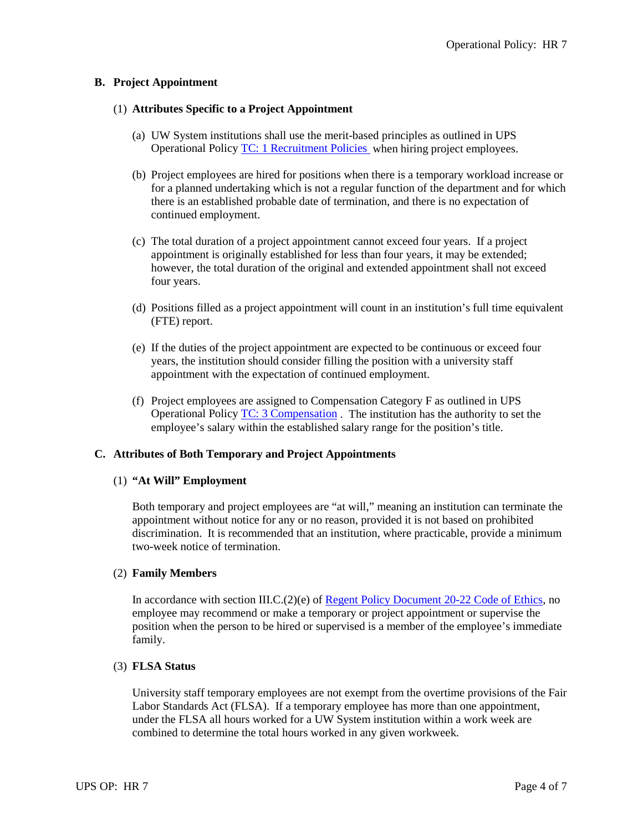#### **B. Project Appointment**

#### (1) **Attributes Specific to a Project Appointment**

- (a) UW System institutions shall use the merit-based principles as outlined in UPS Operational Policy [TC: 1 Recruitment Policies](https://www.wisconsin.edu/ohrwd/download/policies/ops/tc1.pdf) when hiring project employees.
- (b) Project employees are hired for positions when there is a temporary workload increase or for a planned undertaking which is not a regular function of the department and for which there is an established probable date of termination, and there is no expectation of continued employment.
- (c) The total duration of a project appointment cannot exceed four years. If a project appointment is originally established for less than four years, it may be extended; however, the total duration of the original and extended appointment shall not exceed four years.
- (d) Positions filled as a project appointment will count in an institution's full time equivalent (FTE) report.
- (e) If the duties of the project appointment are expected to be continuous or exceed four years, the institution should consider filling the position with a university staff appointment with the expectation of continued employment.
- (f) Project employees are assigned to Compensation Category F as outlined in UPS Operational Policy [TC: 3 Compensation](https://www.wisconsin.edu/ohrwd/download/policies/ops/tc3.pdf) . The institution has the authority to set the employee's salary within the established salary range for the position's title.

#### **C. Attributes of Both Temporary and Project Appointments**

#### (1) **"At Will" Employment**

Both temporary and project employees are "at will," meaning an institution can terminate the appointment without notice for any or no reason, provided it is not based on prohibited discrimination. It is recommended that an institution, where practicable, provide a minimum two-week notice of termination.

#### (2) **Family Members**

In accordance with section III.C.(2)(e) of [Regent Policy Document 20-22 Code of Ethics,](https://www.wisconsin.edu/regents/policies/code-of-ethics/) no employee may recommend or make a temporary or project appointment or supervise the position when the person to be hired or supervised is a member of the employee's immediate family.

#### (3) **FLSA Status**

University staff temporary employees are not exempt from the overtime provisions of the Fair Labor Standards Act (FLSA). If a temporary employee has more than one appointment, under the FLSA all hours worked for a UW System institution within a work week are combined to determine the total hours worked in any given workweek.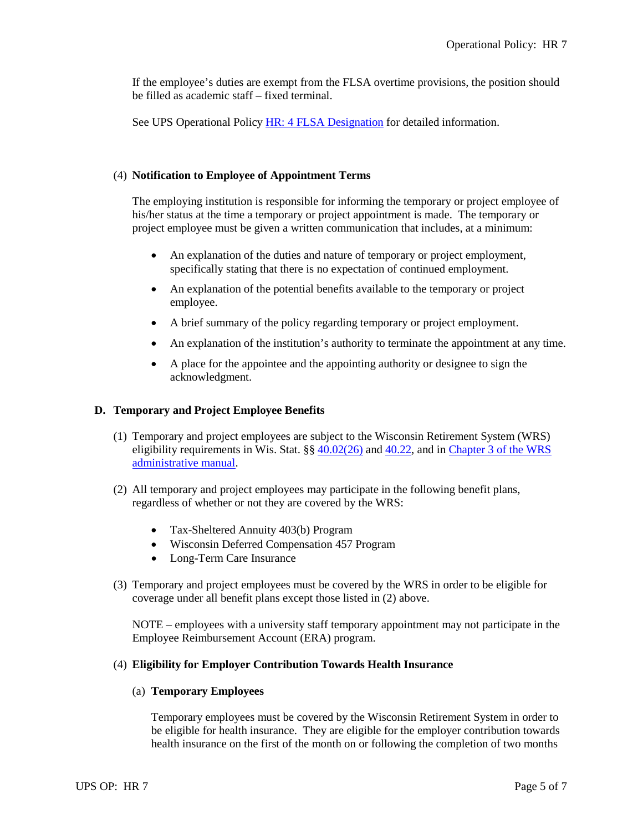If the employee's duties are exempt from the FLSA overtime provisions, the position should be filled as academic staff – fixed terminal.

See UPS Operational Policy [HR: 4 FLSA Designation](https://www.wisconsin.edu/ohrwd/download/policies/ops/hr4.pdf) for detailed information.

#### (4) **Notification to Employee of Appointment Terms**

The employing institution is responsible for informing the temporary or project employee of his/her status at the time a temporary or project appointment is made. The temporary or project employee must be given a written communication that includes, at a minimum:

- An explanation of the duties and nature of temporary or project employment, specifically stating that there is no expectation of continued employment.
- An explanation of the potential benefits available to the temporary or project employee.
- A brief summary of the policy regarding temporary or project employment.
- An explanation of the institution's authority to terminate the appointment at any time.
- A place for the appointee and the appointing authority or designee to sign the acknowledgment.

#### **D. Temporary and Project Employee Benefits**

- (1) Temporary and project employees are subject to the Wisconsin Retirement System (WRS) eligibility requirements in Wis. Stat.  $\S\S 40.02(26)$  and  $40.22$ , and in Chapter 3 of the WRS [administrative manual.](http://etf.wi.gov/employers/wrschap3.pdf)
- (2) All temporary and project employees may participate in the following benefit plans, regardless of whether or not they are covered by the WRS:
	- Tax-Sheltered Annuity 403(b) Program
	- Wisconsin Deferred Compensation 457 Program
	- Long-Term Care Insurance
- (3) Temporary and project employees must be covered by the WRS in order to be eligible for coverage under all benefit plans except those listed in (2) above.

NOTE – employees with a university staff temporary appointment may not participate in the Employee Reimbursement Account (ERA) program.

#### (4) **Eligibility for Employer Contribution Towards Health Insurance**

#### (a) **Temporary Employees**

Temporary employees must be covered by the Wisconsin Retirement System in order to be eligible for health insurance. They are eligible for the employer contribution towards health insurance on the first of the month on or following the completion of two months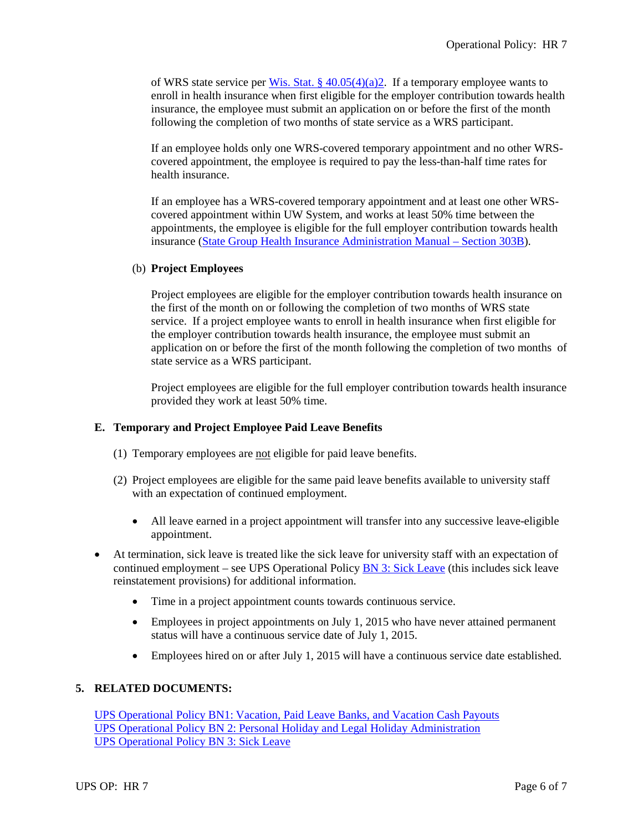of WRS state service per Wis. Stat. §  $40.05(4)(a)$ ?. If a temporary employee wants to enroll in health insurance when first eligible for the employer contribution towards health insurance, the employee must submit an application on or before the first of the month following the completion of two months of state service as a WRS participant.

If an employee holds only one WRS-covered temporary appointment and no other WRScovered appointment, the employee is required to pay the less-than-half time rates for health insurance.

If an employee has a WRS-covered temporary appointment and at least one other WRScovered appointment within UW System, and works at least 50% time between the appointments, the employee is eligible for the full employer contribution towards health insurance [\(State Group Health Insurance Administration Manual –](http://www.etf.wi.gov/employers/healthstate_chap3.pdf) Section 303B).

#### (b) **Project Employees**

Project employees are eligible for the employer contribution towards health insurance on the first of the month on or following the completion of two months of WRS state service. If a project employee wants to enroll in health insurance when first eligible for the employer contribution towards health insurance, the employee must submit an application on or before the first of the month following the completion of two months of state service as a WRS participant.

Project employees are eligible for the full employer contribution towards health insurance provided they work at least 50% time.

## **E. Temporary and Project Employee Paid Leave Benefits**

- (1) Temporary employees are not eligible for paid leave benefits.
- (2) Project employees are eligible for the same paid leave benefits available to university staff with an expectation of continued employment.
	- All leave earned in a project appointment will transfer into any successive leave-eligible appointment.
- At termination, sick leave is treated like the sick leave for university staff with an expectation of continued employment – see UPS Operational Policy [BN 3: Sick Leave](https://www.wisconsin.edu/ohrwd/download/policies/ops/bn3.pdf) (this includes sick leave reinstatement provisions) for additional information.
	- Time in a project appointment counts towards continuous service.
	- Employees in project appointments on July 1, 2015 who have never attained permanent status will have a continuous service date of July 1, 2015.
	- Employees hired on or after July 1, 2015 will have a continuous service date established.

#### **5. RELATED DOCUMENTS:**

UPS Operational Policy BN1: [Vacation, Paid Leave Banks, and Vacation Cash Payouts](https://www.wisconsin.edu/ohrwd/download/policies/ops/bn1.pdf) UPS Operational Policy BN 2: [Personal Holiday and Legal Holiday Administration](https://www.wisconsin.edu/ohrwd/download/policies/ops/bn2.pdf) [UPS Operational Policy BN 3:](https://www.wisconsin.edu/ohrwd/download/policies/ops/bn3.pdf) Sick Leave